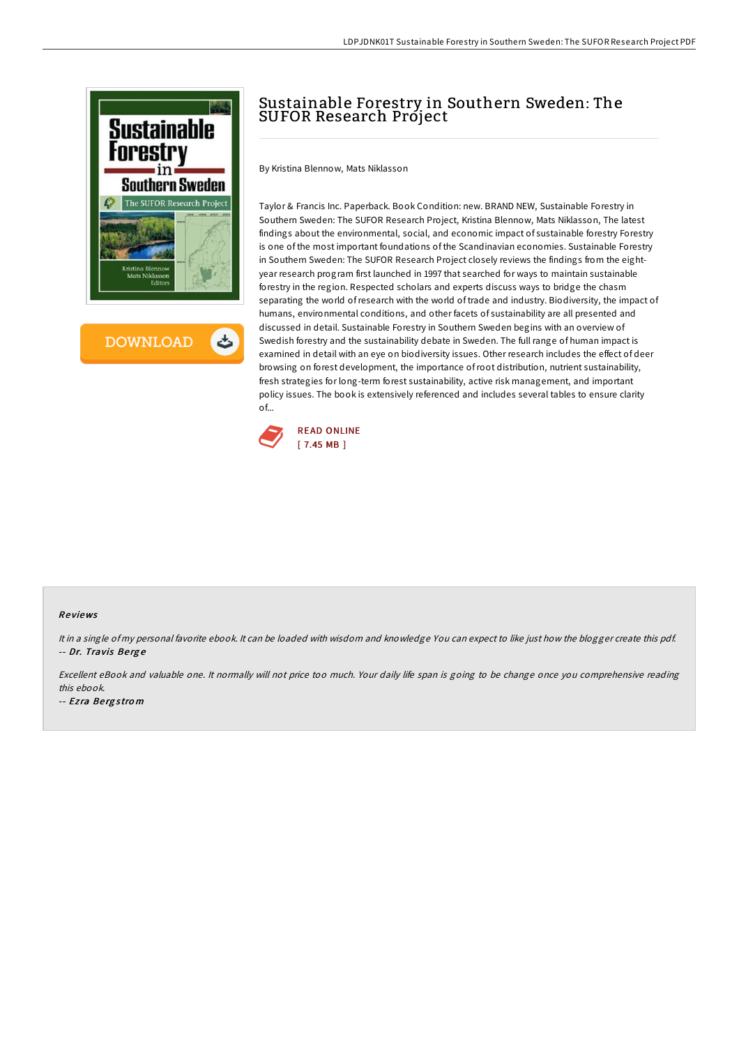

**DOWNLOAD** 

## Sustainable Forestry in Southern Sweden: The SUFOR Research Project

By Kristina Blennow, Mats Niklasson

Taylor & Francis Inc. Paperback. Book Condition: new. BRAND NEW, Sustainable Forestry in Southern Sweden: The SUFOR Research Project, Kristina Blennow, Mats Niklasson, The latest findings about the environmental, social, and economic impact of sustainable forestry Forestry is one of the most important foundations of the Scandinavian economies. Sustainable Forestry in Southern Sweden: The SUFOR Research Project closely reviews the findings from the eightyear research program first launched in 1997 that searched for ways to maintain sustainable forestry in the region. Respected scholars and experts discuss ways to bridge the chasm separating the world ofresearch with the world of trade and industry. Biodiversity, the impact of humans, environmental conditions, and other facets of sustainability are all presented and discussed in detail. Sustainable Forestry in Southern Sweden begins with an overview of Swedish forestry and the sustainability debate in Sweden. The full range of human impact is examined in detail with an eye on biodiversity issues. Other research includes the effect of deer browsing on forest development, the importance ofroot distribution, nutrient sustainability, fresh strategies for long-term forest sustainability, active risk management, and important policy issues. The book is extensively referenced and includes several tables to ensure clarity of...



## Re views

It in <sup>a</sup> single of my personal favorite ebook. It can be loaded with wisdom and knowledge You can expect to like just how the blogger create this pdf. -- Dr. Travis Be rg <sup>e</sup>

Excellent eBook and valuable one. It normally will not price too much. Your daily life span is going to be change once you comprehensive reading this ebook.

-- Ez ra Be rg <sup>s</sup> tro <sup>m</sup>